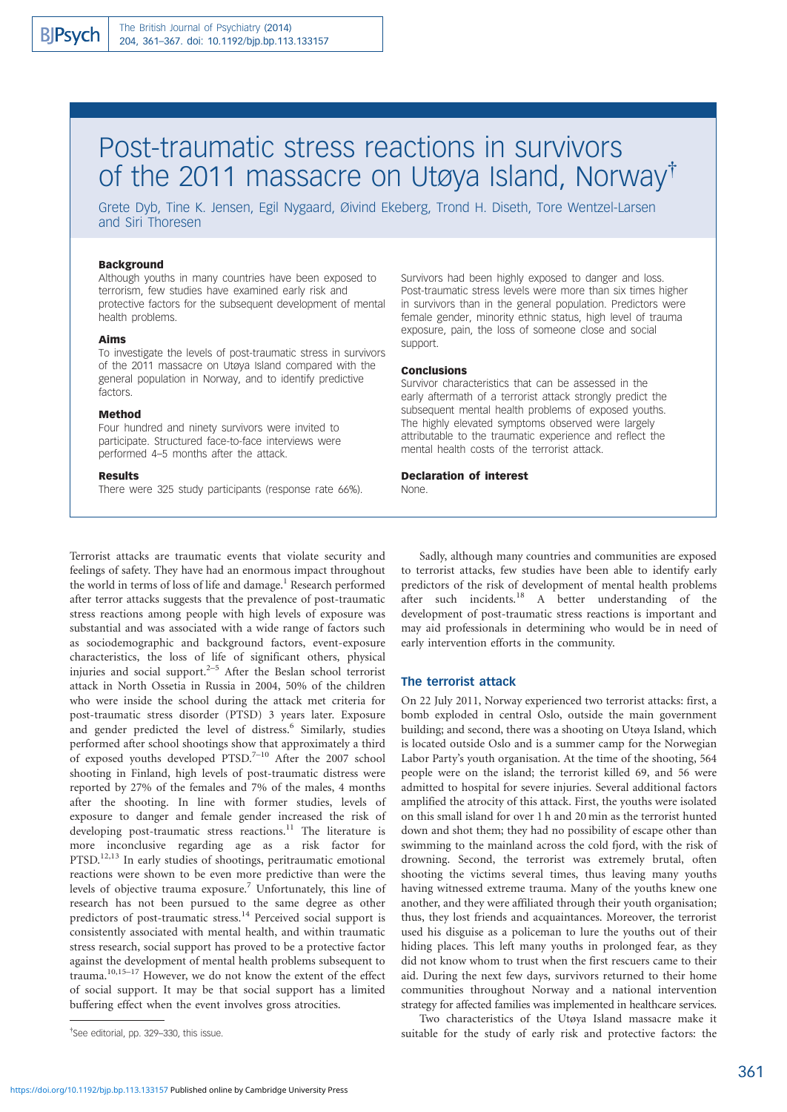# Post-traumatic stress reactions in survivors of the 2011 massacre on Utøya Island, Norway<sup>†</sup>

Grete Dyb, Tine K. Jensen, Egil Nygaard, Øivind Ekeberg, Trond H. Diseth, Tore Wentzel-Larsen and Siri Thoresen

# **Background**

Although youths in many countries have been exposed to terrorism, few studies have examined early risk and protective factors for the subsequent development of mental health problems.

# Aims

To investigate the levels of post-traumatic stress in survivors of the 2011 massacre on Utøya Island compared with the general population in Norway, and to identify predictive factors.

#### Method

Four hundred and ninety survivors were invited to participate. Structured face-to-face interviews were performed 4–5 months after the attack.

### Results

There were 325 study participants (response rate 66%).

Survivors had been highly exposed to danger and loss. Post-traumatic stress levels were more than six times higher in survivors than in the general population. Predictors were female gender, minority ethnic status, high level of trauma exposure, pain, the loss of someone close and social support.

# Conclusions

Survivor characteristics that can be assessed in the early aftermath of a terrorist attack strongly predict the subsequent mental health problems of exposed youths. The highly elevated symptoms observed were largely attributable to the traumatic experience and reflect the mental health costs of the terrorist attack.

## Declaration of interest

None.

Terrorist attacks are traumatic events that violate security and feelings of safety. They have had an enormous impact throughout the world in terms of loss of life and damage.<sup>1</sup> Research performed after terror attacks suggests that the prevalence of post-traumatic stress reactions among people with high levels of exposure was substantial and was associated with a wide range of factors such as sociodemographic and background factors, event-exposure characteristics, the loss of life of significant others, physical injuries and social support. $2-5$  After the Beslan school terrorist attack in North Ossetia in Russia in 2004, 50% of the children who were inside the school during the attack met criteria for post-traumatic stress disorder (PTSD) 3 years later. Exposure and gender predicted the level of distress.<sup>6</sup> Similarly, studies performed after school shootings show that approximately a third of exposed youths developed  $PTSD.<sup>7-10</sup>$  After the 2007 school shooting in Finland, high levels of post-traumatic distress were reported by 27% of the females and 7% of the males, 4 months after the shooting. In line with former studies, levels of exposure to danger and female gender increased the risk of developing post-traumatic stress reactions.<sup>11</sup> The literature is more inconclusive regarding age as a risk factor for PTSD.<sup>12,13</sup> In early studies of shootings, peritraumatic emotional reactions were shown to be even more predictive than were the levels of objective trauma exposure.7 Unfortunately, this line of research has not been pursued to the same degree as other predictors of post-traumatic stress.<sup>14</sup> Perceived social support is consistently associated with mental health, and within traumatic stress research, social support has proved to be a protective factor against the development of mental health problems subsequent to trauma.10,15–17 However, we do not know the extent of the effect of social support. It may be that social support has a limited buffering effect when the event involves gross atrocities.

Sadly, although many countries and communities are exposed to terrorist attacks, few studies have been able to identify early predictors of the risk of development of mental health problems after such incidents.<sup>18</sup> A better understanding of the development of post-traumatic stress reactions is important and may aid professionals in determining who would be in need of early intervention efforts in the community.

## The terrorist attack

On 22 July 2011, Norway experienced two terrorist attacks: first, a bomb exploded in central Oslo, outside the main government building; and second, there was a shooting on Utøya Island, which is located outside Oslo and is a summer camp for the Norwegian Labor Party's youth organisation. At the time of the shooting, 564 people were on the island; the terrorist killed 69, and 56 were admitted to hospital for severe injuries. Several additional factors amplified the atrocity of this attack. First, the youths were isolated on this small island for over 1 h and 20 min as the terrorist hunted down and shot them; they had no possibility of escape other than swimming to the mainland across the cold fjord, with the risk of drowning. Second, the terrorist was extremely brutal, often shooting the victims several times, thus leaving many youths having witnessed extreme trauma. Many of the youths knew one another, and they were affiliated through their youth organisation; thus, they lost friends and acquaintances. Moreover, the terrorist used his disguise as a policeman to lure the youths out of their hiding places. This left many youths in prolonged fear, as they did not know whom to trust when the first rescuers came to their aid. During the next few days, survivors returned to their home communities throughout Norway and a national intervention strategy for affected families was implemented in healthcare services.

Two characteristics of the Utøya Island massacre make it suitable for the study of early risk and protective factors: the

<sup>{</sup> See editorial, pp. 329–330, this issue.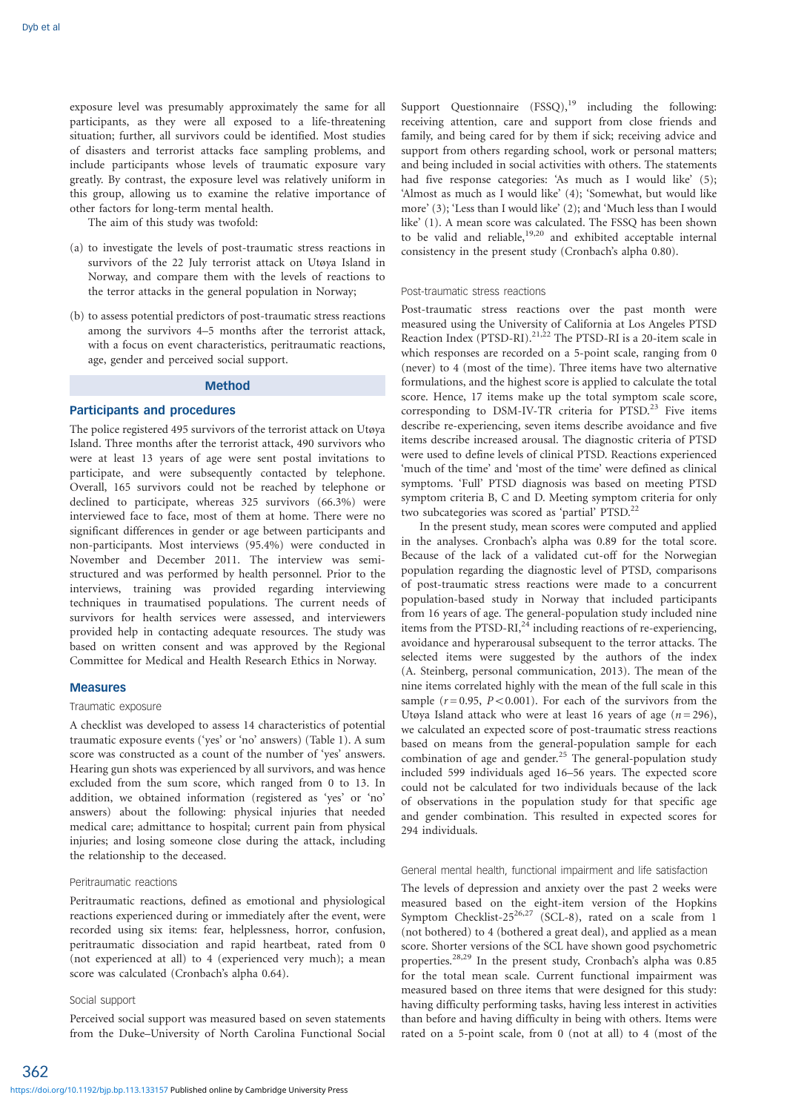exposure level was presumably approximately the same for all participants, as they were all exposed to a life-threatening situation; further, all survivors could be identified. Most studies of disasters and terrorist attacks face sampling problems, and include participants whose levels of traumatic exposure vary greatly. By contrast, the exposure level was relatively uniform in this group, allowing us to examine the relative importance of other factors for long-term mental health.

The aim of this study was twofold:

- (a) to investigate the levels of post-traumatic stress reactions in survivors of the 22 July terrorist attack on Utøya Island in Norway, and compare them with the levels of reactions to the terror attacks in the general population in Norway;
- (b) to assess potential predictors of post-traumatic stress reactions among the survivors 4–5 months after the terrorist attack, with a focus on event characteristics, peritraumatic reactions, age, gender and perceived social support.

## Method

## Participants and procedures

The police registered 495 survivors of the terrorist attack on Utøya Island. Three months after the terrorist attack, 490 survivors who were at least 13 years of age were sent postal invitations to participate, and were subsequently contacted by telephone. Overall, 165 survivors could not be reached by telephone or declined to participate, whereas 325 survivors (66.3%) were interviewed face to face, most of them at home. There were no significant differences in gender or age between participants and non-participants. Most interviews (95.4%) were conducted in November and December 2011. The interview was semistructured and was performed by health personnel. Prior to the interviews, training was provided regarding interviewing techniques in traumatised populations. The current needs of survivors for health services were assessed, and interviewers provided help in contacting adequate resources. The study was based on written consent and was approved by the Regional Committee for Medical and Health Research Ethics in Norway.

#### Measures

#### Traumatic exposure

A checklist was developed to assess 14 characteristics of potential traumatic exposure events ('yes' or 'no' answers) (Table 1). A sum score was constructed as a count of the number of 'yes' answers. Hearing gun shots was experienced by all survivors, and was hence excluded from the sum score, which ranged from 0 to 13. In addition, we obtained information (registered as 'yes' or 'no' answers) about the following: physical injuries that needed medical care; admittance to hospital; current pain from physical injuries; and losing someone close during the attack, including the relationship to the deceased.

#### Peritraumatic reactions

Peritraumatic reactions, defined as emotional and physiological reactions experienced during or immediately after the event, were recorded using six items: fear, helplessness, horror, confusion, peritraumatic dissociation and rapid heartbeat, rated from 0 (not experienced at all) to 4 (experienced very much); a mean score was calculated (Cronbach's alpha 0.64).

## Social support

362

Perceived social support was measured based on seven statements from the Duke–University of North Carolina Functional Social Support Questionnaire  $(FSSQ)$ ,<sup>19</sup> including the following: receiving attention, care and support from close friends and family, and being cared for by them if sick; receiving advice and support from others regarding school, work or personal matters; and being included in social activities with others. The statements had five response categories: 'As much as I would like' (5); 'Almost as much as I would like' (4); 'Somewhat, but would like more' (3); 'Less than I would like' (2); and 'Much less than I would like' (1). A mean score was calculated. The FSSQ has been shown to be valid and reliable,<sup>19,20</sup> and exhibited acceptable internal consistency in the present study (Cronbach's alpha 0.80).

#### Post-traumatic stress reactions

Post-traumatic stress reactions over the past month were measured using the University of California at Los Angeles PTSD Reaction Index (PTSD-RI).<sup>21,22</sup> The PTSD-RI is a 20-item scale in which responses are recorded on a 5-point scale, ranging from 0 (never) to 4 (most of the time). Three items have two alternative formulations, and the highest score is applied to calculate the total score. Hence, 17 items make up the total symptom scale score, corresponding to DSM-IV-TR criteria for PTSD.<sup>23</sup> Five items describe re-experiencing, seven items describe avoidance and five items describe increased arousal. The diagnostic criteria of PTSD were used to define levels of clinical PTSD. Reactions experienced 'much of the time' and 'most of the time' were defined as clinical symptoms. 'Full' PTSD diagnosis was based on meeting PTSD symptom criteria B, C and D. Meeting symptom criteria for only two subcategories was scored as 'partial' PTSD.<sup>22</sup>

In the present study, mean scores were computed and applied in the analyses. Cronbach's alpha was 0.89 for the total score. Because of the lack of a validated cut-off for the Norwegian population regarding the diagnostic level of PTSD, comparisons of post-traumatic stress reactions were made to a concurrent population-based study in Norway that included participants from 16 years of age. The general-population study included nine items from the PTSD-RI,<sup>24</sup> including reactions of re-experiencing, avoidance and hyperarousal subsequent to the terror attacks. The selected items were suggested by the authors of the index (A. Steinberg, personal communication, 2013). The mean of the nine items correlated highly with the mean of the full scale in this sample ( $r = 0.95$ ,  $P < 0.001$ ). For each of the survivors from the Utøya Island attack who were at least 16 years of age  $(n=296)$ , we calculated an expected score of post-traumatic stress reactions based on means from the general-population sample for each combination of age and gender.<sup>25</sup> The general-population study included 599 individuals aged 16–56 years. The expected score could not be calculated for two individuals because of the lack of observations in the population study for that specific age and gender combination. This resulted in expected scores for 294 individuals.

#### General mental health, functional impairment and life satisfaction

The levels of depression and anxiety over the past 2 weeks were measured based on the eight-item version of the Hopkins Symptom Checklist-25<sup>26,27</sup> (SCL-8), rated on a scale from 1 (not bothered) to 4 (bothered a great deal), and applied as a mean score. Shorter versions of the SCL have shown good psychometric properties.28,29 In the present study, Cronbach's alpha was 0.85 for the total mean scale. Current functional impairment was measured based on three items that were designed for this study: having difficulty performing tasks, having less interest in activities than before and having difficulty in being with others. Items were rated on a 5-point scale, from 0 (not at all) to 4 (most of the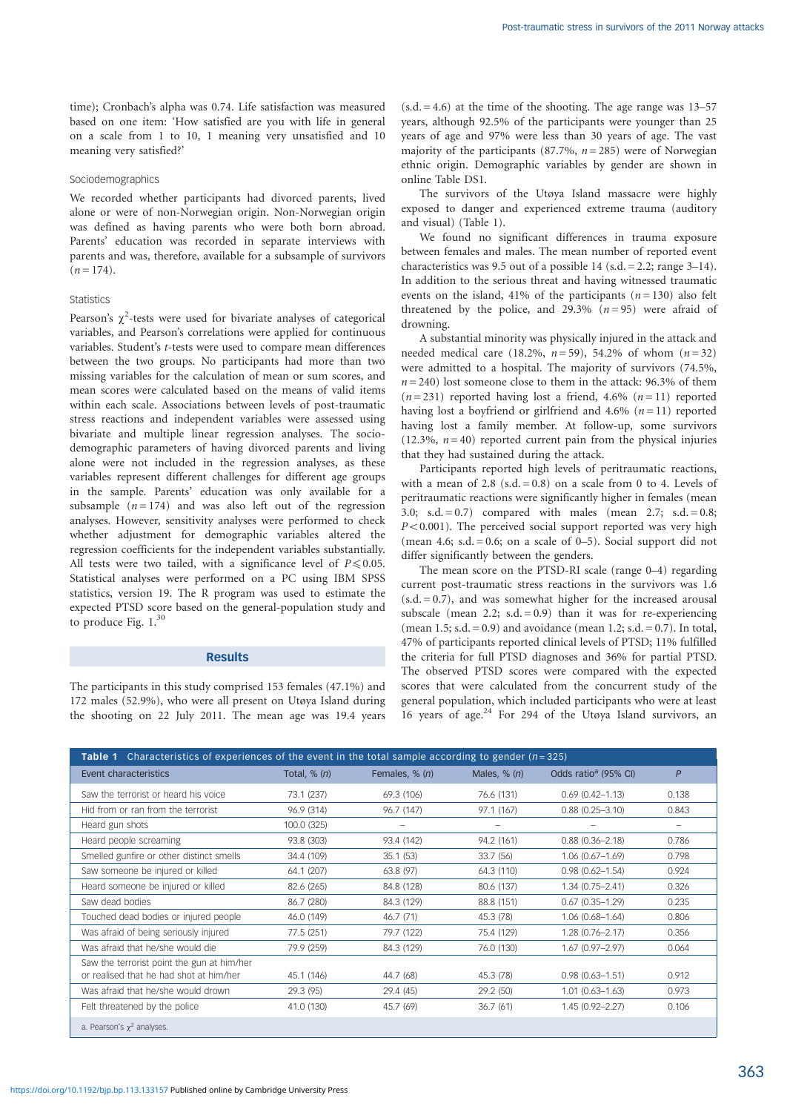time); Cronbach's alpha was 0.74. Life satisfaction was measured based on one item: 'How satisfied are you with life in general on a scale from 1 to 10, 1 meaning very unsatisfied and 10 meaning very satisfied?'

## Sociodemographics

We recorded whether participants had divorced parents, lived alone or were of non-Norwegian origin. Non-Norwegian origin was defined as having parents who were both born abroad. Parents' education was recorded in separate interviews with parents and was, therefore, available for a subsample of survivors  $(n = 174)$ .

# **Statistics**

Pearson's  $\chi^2$ -tests were used for bivariate analyses of categorical variables, and Pearson's correlations were applied for continuous variables. Student's t-tests were used to compare mean differences between the two groups. No participants had more than two missing variables for the calculation of mean or sum scores, and mean scores were calculated based on the means of valid items within each scale. Associations between levels of post-traumatic stress reactions and independent variables were assessed using bivariate and multiple linear regression analyses. The sociodemographic parameters of having divorced parents and living alone were not included in the regression analyses, as these variables represent different challenges for different age groups in the sample. Parents' education was only available for a subsample  $(n = 174)$  and was also left out of the regression analyses. However, sensitivity analyses were performed to check whether adjustment for demographic variables altered the regression coefficients for the independent variables substantially. All tests were two tailed, with a significance level of  $P \le 0.05$ . Statistical analyses were performed on a PC using IBM SPSS statistics, version 19. The R program was used to estimate the expected PTSD score based on the general-population study and to produce Fig.  $1.^{30}$ 

# Results

The participants in this study comprised 153 females (47.1%) and 172 males (52.9%), who were all present on Utøya Island during the shooting on 22 July 2011. The mean age was 19.4 years  $(s.d. = 4.6)$  at the time of the shooting. The age range was 13–57 years, although 92.5% of the participants were younger than 25 years of age and 97% were less than 30 years of age. The vast majority of the participants (87.7%,  $n=285$ ) were of Norwegian ethnic origin. Demographic variables by gender are shown in online Table DS1.

The survivors of the Utøya Island massacre were highly exposed to danger and experienced extreme trauma (auditory and visual) (Table 1).

We found no significant differences in trauma exposure between females and males. The mean number of reported event characteristics was 9.5 out of a possible 14 (s.d. = 2.2; range 3–14). In addition to the serious threat and having witnessed traumatic events on the island, 41% of the participants ( $n = 130$ ) also felt threatened by the police, and 29.3%  $(n=95)$  were afraid of drowning.

A substantial minority was physically injured in the attack and needed medical care (18.2%,  $n = 59$ ), 54.2% of whom  $(n = 32)$ were admitted to a hospital. The majority of survivors (74.5%,  $n = 240$ ) lost someone close to them in the attack: 96.3% of them  $(n=231)$  reported having lost a friend, 4.6%  $(n=11)$  reported having lost a boyfriend or girlfriend and 4.6% ( $n = 11$ ) reported having lost a family member. At follow-up, some survivors  $(12.3\%, n=40)$  reported current pain from the physical injuries that they had sustained during the attack.

Participants reported high levels of peritraumatic reactions, with a mean of  $2.8$  (s.d. = 0.8) on a scale from 0 to 4. Levels of peritraumatic reactions were significantly higher in females (mean 3.0; s.d. = 0.7) compared with males (mean 2.7; s.d. = 0.8;  $P<0.001$ ). The perceived social support reported was very high (mean 4.6; s.d.  $= 0.6$ ; on a scale of 0–5). Social support did not differ significantly between the genders.

The mean score on the PTSD-RI scale (range 0–4) regarding current post-traumatic stress reactions in the survivors was 1.6  $(s.d. = 0.7)$ , and was somewhat higher for the increased arousal subscale (mean 2.2; s.d.  $= 0.9$ ) than it was for re-experiencing (mean 1.5; s.d. =  $0.9$ ) and avoidance (mean 1.2; s.d. =  $0.7$ ). In total, 47% of participants reported clinical levels of PTSD; 11% fulfilled the criteria for full PTSD diagnoses and 36% for partial PTSD. The observed PTSD scores were compared with the expected scores that were calculated from the concurrent study of the general population, which included participants who were at least 16 years of age.<sup>24</sup> For 294 of the Utøya Island survivors, an

| Characteristics of experiences of the event in the total sample according to gender ( $n=325$ )<br>Table 1 |                |                   |                |                                  |                          |  |  |  |
|------------------------------------------------------------------------------------------------------------|----------------|-------------------|----------------|----------------------------------|--------------------------|--|--|--|
| Event characteristics                                                                                      | Total, $% (n)$ | Females, $% (n)$  | Males, $% (n)$ | Odds ratio <sup>a</sup> (95% CI) | P                        |  |  |  |
| Saw the terrorist or heard his voice                                                                       | 73.1 (237)     | 69.3 (106)        | 76.6 (131)     | $0.69(0.42 - 1.13)$              | 0.138                    |  |  |  |
| Hid from or ran from the terrorist                                                                         | 96.9 (314)     | 96.7 (147)        | 97.1 (167)     | $0.88(0.25 - 3.10)$              | 0.843                    |  |  |  |
| Heard gun shots                                                                                            | 100.0 (325)    | $\qquad \qquad -$ | $\equiv$       | $\equiv$                         | $\overline{\phantom{0}}$ |  |  |  |
| Heard people screaming                                                                                     | 93.8 (303)     | 93.4 (142)        | 94.2 (161)     | $0.88(0.36 - 2.18)$              | 0.786                    |  |  |  |
| Smelled gunfire or other distinct smells                                                                   | 34.4 (109)     | 35.1(53)          | 33.7 (56)      | $1.06(0.67 - 1.69)$              | 0.798                    |  |  |  |
| Saw someone be injured or killed                                                                           | 64.1 (207)     | 63.8 (97)         | 64.3 (110)     | $0.98(0.62 - 1.54)$              | 0.924                    |  |  |  |
| Heard someone be injured or killed                                                                         | 82.6 (265)     | 84.8 (128)        | 80.6 (137)     | $1.34(0.75 - 2.41)$              | 0.326                    |  |  |  |
| Saw dead bodies                                                                                            | 86.7 (280)     | 84.3 (129)        | 88.8 (151)     | $0.67(0.35 - 1.29)$              | 0.235                    |  |  |  |
| Touched dead bodies or injured people                                                                      | 46.0 (149)     | 46.7 (71)         | 45.3 (78)      | $1.06(0.68 - 1.64)$              | 0.806                    |  |  |  |
| Was afraid of being seriously injured                                                                      | 77.5 (251)     | 79.7 (122)        | 75.4 (129)     | $1.28(0.76 - 2.17)$              | 0.356                    |  |  |  |
| Was afraid that he/she would die                                                                           | 79.9 (259)     | 84.3 (129)        | 76.0 (130)     | $1.67(0.97 - 2.97)$              | 0.064                    |  |  |  |
| Saw the terrorist point the gun at him/her                                                                 |                |                   |                |                                  |                          |  |  |  |
| or realised that he had shot at him/her                                                                    | 45.1 (146)     | 44.7 (68)         | 45.3 (78)      | $0.98(0.63 - 1.51)$              | 0.912                    |  |  |  |
| Was afraid that he/she would drown                                                                         | 29.3 (95)      | 29.4 (45)         | 29.2 (50)      | $1.01(0.63 - 1.63)$              | 0.973                    |  |  |  |
| Felt threatened by the police                                                                              | 41.0 (130)     | 45.7 (69)         | 36.7(61)       | $1.45(0.92 - 2.27)$              | 0.106                    |  |  |  |
| a. Pearson's $\chi^2$ analyses.                                                                            |                |                   |                |                                  |                          |  |  |  |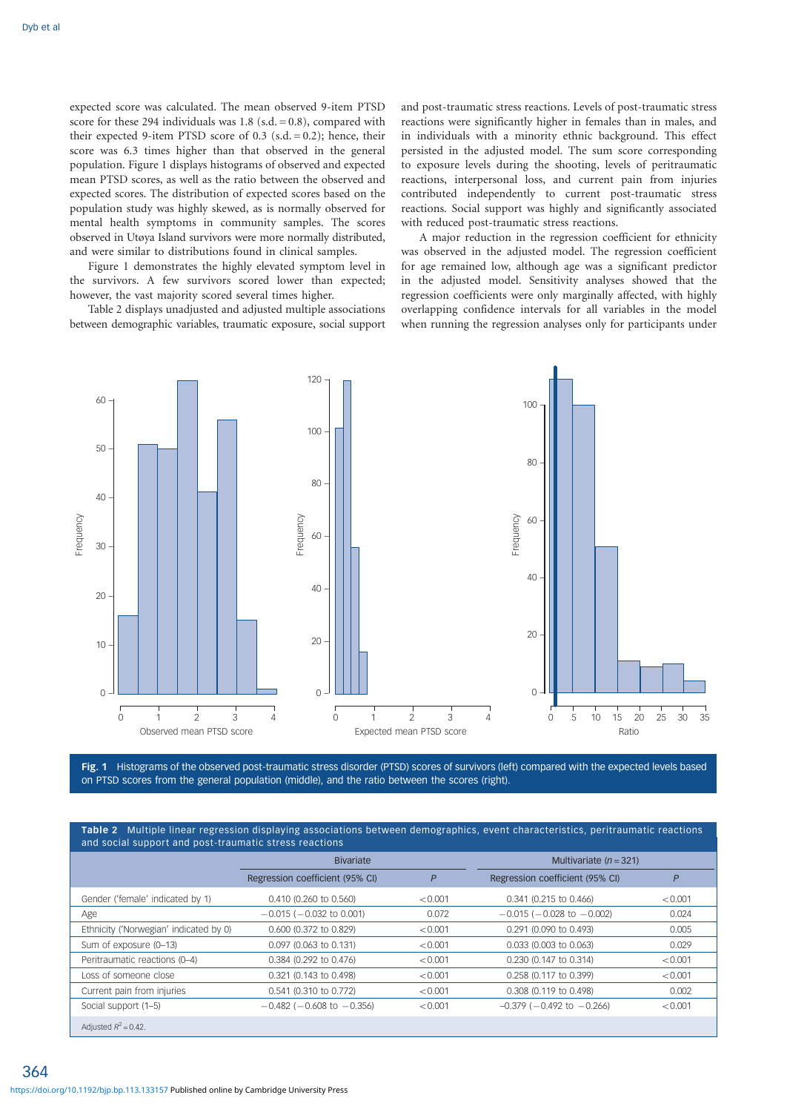expected score was calculated. The mean observed 9-item PTSD score for these 294 individuals was  $1.8$  (s.d. = 0.8), compared with their expected 9-item PTSD score of  $0.3$  (s.d. =  $0.2$ ); hence, their score was 6.3 times higher than that observed in the general population. Figure 1 displays histograms of observed and expected mean PTSD scores, as well as the ratio between the observed and expected scores. The distribution of expected scores based on the population study was highly skewed, as is normally observed for mental health symptoms in community samples. The scores observed in Utøya Island survivors were more normally distributed, and were similar to distributions found in clinical samples.

Figure 1 demonstrates the highly elevated symptom level in the survivors. A few survivors scored lower than expected; however, the vast majority scored several times higher.

Table 2 displays unadjusted and adjusted multiple associations between demographic variables, traumatic exposure, social support and post-traumatic stress reactions. Levels of post-traumatic stress reactions were significantly higher in females than in males, and in individuals with a minority ethnic background. This effect persisted in the adjusted model. The sum score corresponding to exposure levels during the shooting, levels of peritraumatic reactions, interpersonal loss, and current pain from injuries contributed independently to current post-traumatic stress reactions. Social support was highly and significantly associated with reduced post-traumatic stress reactions.

A major reduction in the regression coefficient for ethnicity was observed in the adjusted model. The regression coefficient for age remained low, although age was a significant predictor in the adjusted model. Sensitivity analyses showed that the regression coefficients were only marginally affected, with highly overlapping confidence intervals for all variables in the model when running the regression analyses only for participants under



Fig. 1 Histograms of the observed post-traumatic stress disorder (PTSD) scores of survivors (left) compared with the expected levels based on PTSD scores from the general population (middle), and the ratio between the scores (right).

Table 2 Multiple linear regression displaying associations between demographics, event characteristics, peritraumatic reactions and social support and post-traumatic stress reactions

|                                        | <b>Bivariate</b>                  |         | Multivariate $(n = 321)$          |         |  |  |  |
|----------------------------------------|-----------------------------------|---------|-----------------------------------|---------|--|--|--|
|                                        | Regression coefficient (95% CI)   | P       | Regression coefficient (95% CI)   | P       |  |  |  |
| Gender ('female' indicated by 1)       | 0.410 (0.260 to 0.560)            | < 0.001 | 0.341 (0.215 to 0.466)            | < 0.001 |  |  |  |
| Age                                    | $-0.015$ ( $-0.032$ to 0.001)     | 0.072   | $-0.015$ ( $-0.028$ to $-0.002$ ) | 0.024   |  |  |  |
| Ethnicity ('Norwegian' indicated by 0) | 0.600 (0.372 to 0.829)            | < 0.001 | 0.291 (0.090 to 0.493)            | 0.005   |  |  |  |
| Sum of exposure (0-13)                 | 0.097 (0.063 to 0.131)            | < 0.001 | 0.033 (0.003 to 0.063)            | 0.029   |  |  |  |
| Peritraumatic reactions (0-4)          | 0.384 (0.292 to 0.476)            | < 0.001 | 0.230 (0.147 to 0.314)            | < 0.001 |  |  |  |
| Loss of someone close                  | 0.321 (0.143 to 0.498)            | < 0.001 | 0.258 (0.117 to 0.399)            | < 0.001 |  |  |  |
| Current pain from injuries             | 0.541 (0.310 to 0.772)            | < 0.001 | 0.308 (0.119 to 0.498)            | 0.002   |  |  |  |
| Social support (1-5)                   | $-0.482$ ( $-0.608$ to $-0.356$ ) | < 0.001 | $-0.379$ ( $-0.492$ to $-0.266$ ) | < 0.001 |  |  |  |
| Adjusted $R^2$ = 0.42.                 |                                   |         |                                   |         |  |  |  |

364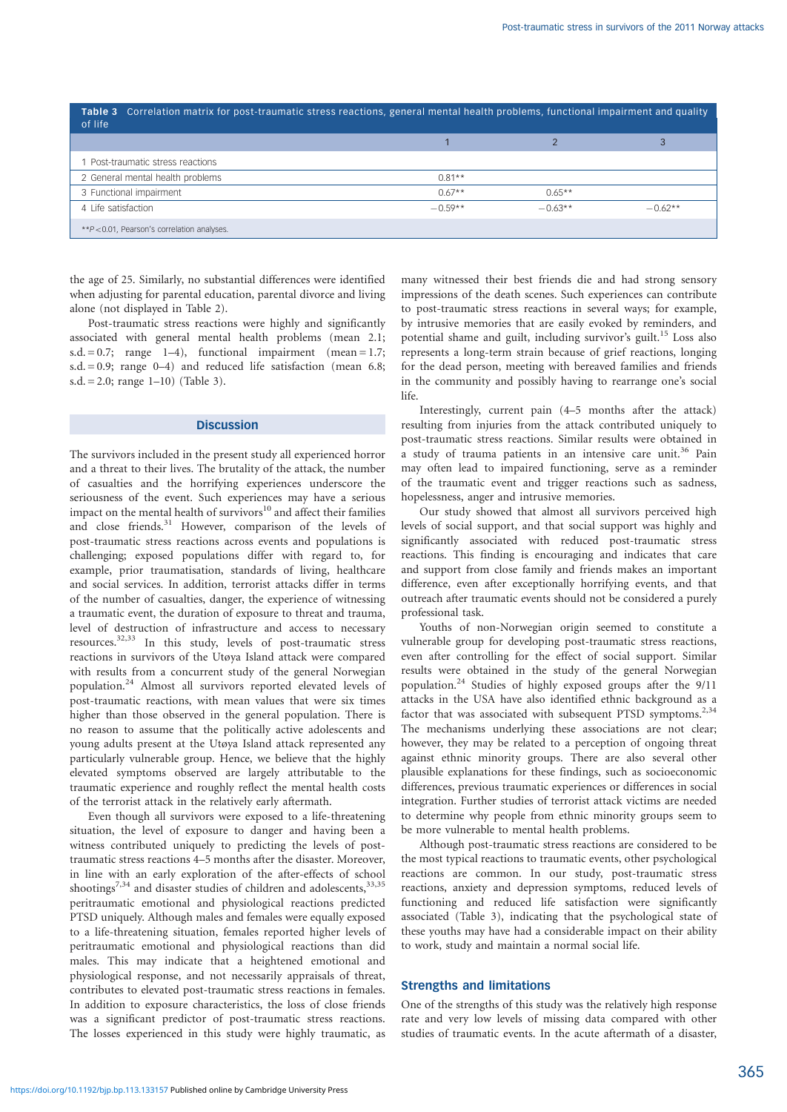| Table 3 Correlation matrix for post-traumatic stress reactions, general mental health problems, functional impairment and quality<br>of life |           |           |           |
|----------------------------------------------------------------------------------------------------------------------------------------------|-----------|-----------|-----------|
|                                                                                                                                              |           |           |           |
| Post-traumatic stress reactions                                                                                                              |           |           |           |
| 2 General mental health problems                                                                                                             | $0.81**$  |           |           |
| 3 Functional impairment                                                                                                                      | $0.67**$  | $0.65**$  |           |
| 4 Life satisfaction                                                                                                                          | $-0.59**$ | $-0.63**$ | $-0.62**$ |
| **P<0.01, Pearson's correlation analyses.                                                                                                    |           |           |           |

the age of 25. Similarly, no substantial differences were identified when adjusting for parental education, parental divorce and living alone (not displayed in Table 2).

Post-traumatic stress reactions were highly and significantly associated with general mental health problems (mean 2.1;  $s.d. = 0.7$ ; range  $1-4$ ), functional impairment (mean = 1.7; s.d. = 0.9; range  $0-4$ ) and reduced life satisfaction (mean 6.8; s.d. = 2.0; range 1–10) (Table 3).

## **Discussion**

The survivors included in the present study all experienced horror and a threat to their lives. The brutality of the attack, the number of casualties and the horrifying experiences underscore the seriousness of the event. Such experiences may have a serious impact on the mental health of survivors<sup>10</sup> and affect their families and close friends.<sup>31</sup> However, comparison of the levels of post-traumatic stress reactions across events and populations is challenging; exposed populations differ with regard to, for example, prior traumatisation, standards of living, healthcare and social services. In addition, terrorist attacks differ in terms of the number of casualties, danger, the experience of witnessing a traumatic event, the duration of exposure to threat and trauma, level of destruction of infrastructure and access to necessary resources.32,33 In this study, levels of post-traumatic stress reactions in survivors of the Utøya Island attack were compared with results from a concurrent study of the general Norwegian population.<sup>24</sup> Almost all survivors reported elevated levels of post-traumatic reactions, with mean values that were six times higher than those observed in the general population. There is no reason to assume that the politically active adolescents and young adults present at the Utøya Island attack represented any particularly vulnerable group. Hence, we believe that the highly elevated symptoms observed are largely attributable to the traumatic experience and roughly reflect the mental health costs of the terrorist attack in the relatively early aftermath.

Even though all survivors were exposed to a life-threatening situation, the level of exposure to danger and having been a witness contributed uniquely to predicting the levels of posttraumatic stress reactions 4–5 months after the disaster. Moreover, in line with an early exploration of the after-effects of school shootings<sup>7,34</sup> and disaster studies of children and adolescents,  $33,35$ peritraumatic emotional and physiological reactions predicted PTSD uniquely. Although males and females were equally exposed to a life-threatening situation, females reported higher levels of peritraumatic emotional and physiological reactions than did males. This may indicate that a heightened emotional and physiological response, and not necessarily appraisals of threat, contributes to elevated post-traumatic stress reactions in females. In addition to exposure characteristics, the loss of close friends was a significant predictor of post-traumatic stress reactions. The losses experienced in this study were highly traumatic, as

many witnessed their best friends die and had strong sensory impressions of the death scenes. Such experiences can contribute to post-traumatic stress reactions in several ways; for example, by intrusive memories that are easily evoked by reminders, and potential shame and guilt, including survivor's guilt.<sup>15</sup> Loss also represents a long-term strain because of grief reactions, longing for the dead person, meeting with bereaved families and friends in the community and possibly having to rearrange one's social life.

Interestingly, current pain (4–5 months after the attack) resulting from injuries from the attack contributed uniquely to post-traumatic stress reactions. Similar results were obtained in a study of trauma patients in an intensive care unit.<sup>36</sup> Pain may often lead to impaired functioning, serve as a reminder of the traumatic event and trigger reactions such as sadness, hopelessness, anger and intrusive memories.

Our study showed that almost all survivors perceived high levels of social support, and that social support was highly and significantly associated with reduced post-traumatic stress reactions. This finding is encouraging and indicates that care and support from close family and friends makes an important difference, even after exceptionally horrifying events, and that outreach after traumatic events should not be considered a purely professional task.

Youths of non-Norwegian origin seemed to constitute a vulnerable group for developing post-traumatic stress reactions, even after controlling for the effect of social support. Similar results were obtained in the study of the general Norwegian population.<sup>24</sup> Studies of highly exposed groups after the 9/11 attacks in the USA have also identified ethnic background as a factor that was associated with subsequent PTSD symptoms.<sup>2,34</sup> The mechanisms underlying these associations are not clear; however, they may be related to a perception of ongoing threat against ethnic minority groups. There are also several other plausible explanations for these findings, such as socioeconomic differences, previous traumatic experiences or differences in social integration. Further studies of terrorist attack victims are needed to determine why people from ethnic minority groups seem to be more vulnerable to mental health problems.

Although post-traumatic stress reactions are considered to be the most typical reactions to traumatic events, other psychological reactions are common. In our study, post-traumatic stress reactions, anxiety and depression symptoms, reduced levels of functioning and reduced life satisfaction were significantly associated (Table 3), indicating that the psychological state of these youths may have had a considerable impact on their ability to work, study and maintain a normal social life.

## Strengths and limitations

One of the strengths of this study was the relatively high response rate and very low levels of missing data compared with other studies of traumatic events. In the acute aftermath of a disaster,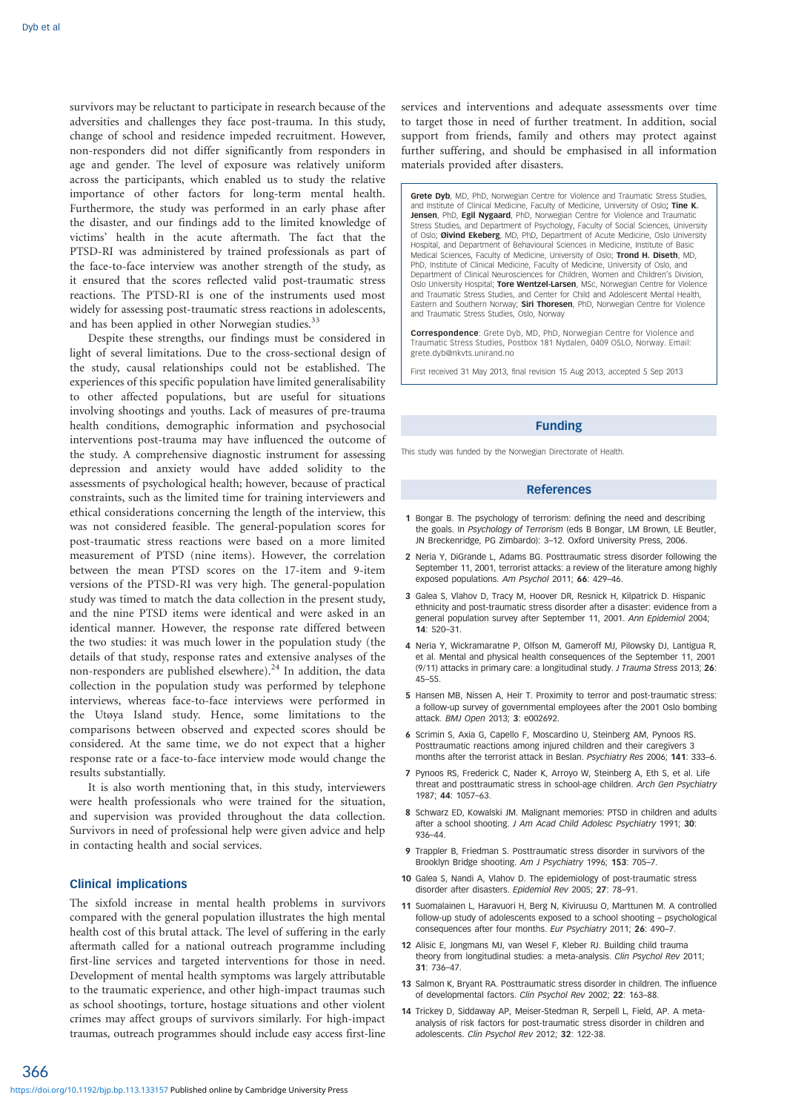survivors may be reluctant to participate in research because of the adversities and challenges they face post-trauma. In this study, change of school and residence impeded recruitment. However, non-responders did not differ significantly from responders in age and gender. The level of exposure was relatively uniform across the participants, which enabled us to study the relative importance of other factors for long-term mental health. Furthermore, the study was performed in an early phase after the disaster, and our findings add to the limited knowledge of victims' health in the acute aftermath. The fact that the PTSD-RI was administered by trained professionals as part of the face-to-face interview was another strength of the study, as it ensured that the scores reflected valid post-traumatic stress reactions. The PTSD-RI is one of the instruments used most widely for assessing post-traumatic stress reactions in adolescents, and has been applied in other Norwegian studies.<sup>33</sup>

Despite these strengths, our findings must be considered in light of several limitations. Due to the cross-sectional design of the study, causal relationships could not be established. The experiences of this specific population have limited generalisability to other affected populations, but are useful for situations involving shootings and youths. Lack of measures of pre-trauma health conditions, demographic information and psychosocial interventions post-trauma may have influenced the outcome of the study. A comprehensive diagnostic instrument for assessing depression and anxiety would have added solidity to the assessments of psychological health; however, because of practical constraints, such as the limited time for training interviewers and ethical considerations concerning the length of the interview, this was not considered feasible. The general-population scores for post-traumatic stress reactions were based on a more limited measurement of PTSD (nine items). However, the correlation between the mean PTSD scores on the 17-item and 9-item versions of the PTSD-RI was very high. The general-population study was timed to match the data collection in the present study, and the nine PTSD items were identical and were asked in an identical manner. However, the response rate differed between the two studies: it was much lower in the population study (the details of that study, response rates and extensive analyses of the non-responders are published elsewhere).<sup>24</sup> In addition, the data collection in the population study was performed by telephone interviews, whereas face-to-face interviews were performed in the Utøya Island study. Hence, some limitations to the comparisons between observed and expected scores should be considered. At the same time, we do not expect that a higher response rate or a face-to-face interview mode would change the results substantially.

It is also worth mentioning that, in this study, interviewers were health professionals who were trained for the situation, and supervision was provided throughout the data collection. Survivors in need of professional help were given advice and help in contacting health and social services.

## Clinical implications

366

The sixfold increase in mental health problems in survivors compared with the general population illustrates the high mental health cost of this brutal attack. The level of suffering in the early aftermath called for a national outreach programme including first-line services and targeted interventions for those in need. Development of mental health symptoms was largely attributable to the traumatic experience, and other high-impact traumas such as school shootings, torture, hostage situations and other violent crimes may affect groups of survivors similarly. For high-impact traumas, outreach programmes should include easy access first-line

services and interventions and adequate assessments over time to target those in need of further treatment. In addition, social support from friends, family and others may protect against further suffering, and should be emphasised in all information materials provided after disasters.

Grete Dyb, MD, PhD, Norwegian Centre for Violence and Traumatic Stress Studies and Institute of Clinical Medicine, Faculty of Medicine, University of Oslo; Tine K. Jensen, PhD, Egil Nygaard, PhD, Norwegian Centre for Violence and Traumatic Stress Studies, and Department of Psychology, Faculty of Social Sciences, University of Oslo; Øivind Ekeberg, MD, PhD, Department of Acute Medicine, Oslo University Hospital, and Department of Behavioural Sciences in Medicine, Institute of Basic Medical Sciences, Faculty of Medicine, University of Oslo; Trond H. Diseth, MD, PhD, Institute of Clinical Medicine, Faculty of Medicine, University of Oslo, and Department of Clinical Neurosciences for Children, Women and Children's Division, Oslo University Hospital; Tore Wentzel-Larsen, MSc, Norwegian Centre for Violence and Traumatic Stress Studies, and Center for Child and Adolescent Mental Health, Eastern and Southern Norway; Siri Thoresen, PhD, Norwegian Centre for Violence and Traumatic Stress Studies, Oslo, Norway

Correspondence: Grete Dyb, MD, PhD, Norwegian Centre for Violence and Traumatic Stress Studies, Postbox 181 Nydalen, 0409 OSLO, Norway. Email: grete.dyb@nkvts.unirand.no

First received 31 May 2013, final revision 15 Aug 2013, accepted 5 Sep 2013

## Funding

This study was funded by the Norwegian Directorate of Health.

## References

- 1 Bongar B. The psychology of terrorism: defining the need and describing the goals. In Psychology of Terrorism (eds B Bongar, LM Brown, LE Beutler, JN Breckenridge, PG Zimbardo): 3–12. Oxford University Press, 2006.
- 2 Neria Y, DiGrande L, Adams BG. Posttraumatic stress disorder following the September 11, 2001, terrorist attacks: a review of the literature among highly exposed populations. Am Psychol 2011; 66: 429–46.
- 3 Galea S, Vlahov D, Tracy M, Hoover DR, Resnick H, Kilpatrick D. Hispanic ethnicity and post-traumatic stress disorder after a disaster: evidence from a general population survey after September 11, 2001. Ann Epidemiol 2004; 14: 520–31.
- 4 Neria Y, Wickramaratne P, Olfson M, Gameroff MJ, Pilowsky DJ, Lantigua R, et al. Mental and physical health consequences of the September 11, 2001 (9/11) attacks in primary care: a longitudinal study. J Trauma Stress 2013; 26: 45–55.
- 5 Hansen MB, Nissen A, Heir T. Proximity to terror and post-traumatic stress: a follow-up survey of governmental employees after the 2001 Oslo bombing attack. BMJ Open 2013; 3: e002692.
- 6 Scrimin S, Axia G, Capello F, Moscardino U, Steinberg AM, Pynoos RS. Posttraumatic reactions among injured children and their caregivers 3 months after the terrorist attack in Beslan. Psychiatry Res 2006; 141: 333-6.
- 7 Pynoos RS, Frederick C, Nader K, Arroyo W, Steinberg A, Eth S, et al. Life threat and posttraumatic stress in school-age children. Arch Gen Psychiatry 1987; 44: 1057–63.
- 8 Schwarz ED, Kowalski JM, Malignant memories: PTSD in children and adults after a school shooting. J Am Acad Child Adolesc Psychiatry 1991; 30: 936–44.
- 9 Trappler B, Friedman S. Posttraumatic stress disorder in survivors of the Brooklyn Bridge shooting. Am J Psychiatry 1996; 153: 705–7.
- 10 Galea S, Nandi A, Vlahov D. The epidemiology of post-traumatic stress disorder after disasters. Epidemiol Rev 2005; 27: 78–91.
- 11 Suomalainen L, Haravuori H, Berg N, Kiviruusu O, Marttunen M. A controlled follow-up study of adolescents exposed to a school shooting – psychological consequences after four months. Eur Psychiatry 2011; 26: 490–7.
- 12 Alisic E, Jongmans MJ, van Wesel F, Kleber RJ. Building child trauma theory from longitudinal studies: a meta-analysis. Clin Psychol Rev 2011; 31: 736–47.
- 13 Salmon K, Bryant RA. Posttraumatic stress disorder in children. The influence of developmental factors. Clin Psychol Rev 2002; 22: 163–88.
- 14 Trickey D, Siddaway AP, Meiser-Stedman R, Serpell L, Field, AP. A metaanalysis of risk factors for post-traumatic stress disorder in children and adolescents. Clin Psychol Rev 2012; 32: 122-38.